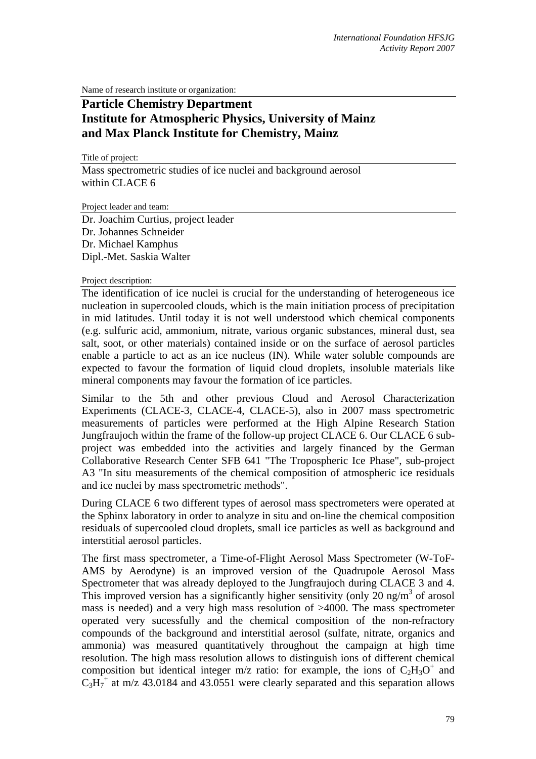Name of research institute or organization:

## **Particle Chemistry Department Institute for Atmospheric Physics, University of Mainz and Max Planck Institute for Chemistry, Mainz**

Title of project:

Mass spectrometric studies of ice nuclei and background aerosol within CLACE 6

Project leader and team:

Dr. Joachim Curtius, project leader Dr. Johannes Schneider Dr. Michael Kamphus Dipl.-Met. Saskia Walter

Project description:

The identification of ice nuclei is crucial for the understanding of heterogeneous ice nucleation in supercooled clouds, which is the main initiation process of precipitation in mid latitudes. Until today it is not well understood which chemical components (e.g. sulfuric acid, ammonium, nitrate, various organic substances, mineral dust, sea salt, soot, or other materials) contained inside or on the surface of aerosol particles enable a particle to act as an ice nucleus (IN). While water soluble compounds are expected to favour the formation of liquid cloud droplets, insoluble materials like mineral components may favour the formation of ice particles.

Similar to the 5th and other previous Cloud and Aerosol Characterization Experiments (CLACE-3, CLACE-4, CLACE-5), also in 2007 mass spectrometric measurements of particles were performed at the High Alpine Research Station Jungfraujoch within the frame of the follow-up project CLACE 6. Our CLACE 6 subproject was embedded into the activities and largely financed by the German Collaborative Research Center SFB 641 "The Tropospheric Ice Phase", sub-project A3 "In situ measurements of the chemical composition of atmospheric ice residuals and ice nuclei by mass spectrometric methods".

During CLACE 6 two different types of aerosol mass spectrometers were operated at the Sphinx laboratory in order to analyze in situ and on-line the chemical composition residuals of supercooled cloud droplets, small ice particles as well as background and interstitial aerosol particles.

The first mass spectrometer, a Time-of-Flight Aerosol Mass Spectrometer (W-ToF-AMS by Aerodyne) is an improved version of the Quadrupole Aerosol Mass Spectrometer that was already deployed to the Jungfraujoch during CLACE 3 and 4. This improved version has a significantly higher sensitivity (only  $20 \text{ ng/m}^3$  of arosol mass is needed) and a very high mass resolution of >4000. The mass spectrometer operated very sucessfully and the chemical composition of the non-refractory compounds of the background and interstitial aerosol (sulfate, nitrate, organics and ammonia) was measured quantitatively throughout the campaign at high time resolution. The high mass resolution allows to distinguish ions of different chemical composition but identical integer m/z ratio: for example, the ions of  $C_2H_3O^+$  and  $C_3H_7^+$  at m/z 43.0184 and 43.0551 were clearly separated and this separation allows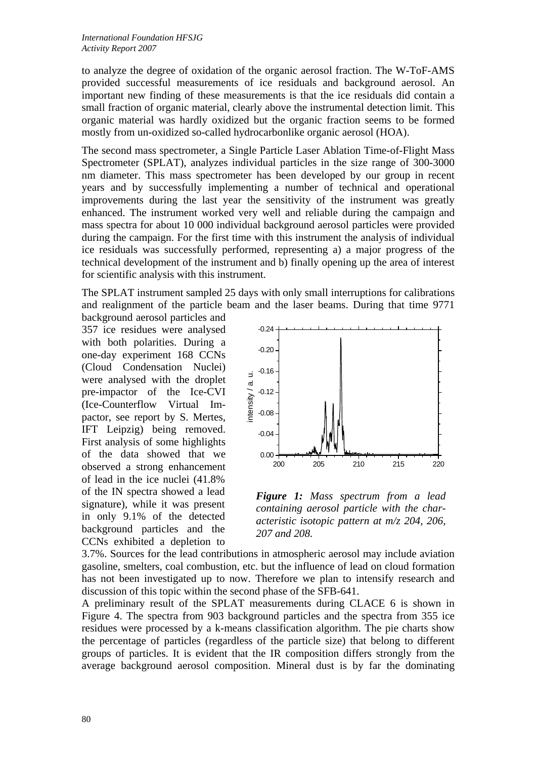to analyze the degree of oxidation of the organic aerosol fraction. The W-ToF-AMS provided successful measurements of ice residuals and background aerosol. An important new finding of these measurements is that the ice residuals did contain a small fraction of organic material, clearly above the instrumental detection limit. This organic material was hardly oxidized but the organic fraction seems to be formed mostly from un-oxidized so-called hydrocarbonlike organic aerosol (HOA).

The second mass spectrometer, a Single Particle Laser Ablation Time-of-Flight Mass Spectrometer (SPLAT), analyzes individual particles in the size range of 300-3000 nm diameter. This mass spectrometer has been developed by our group in recent years and by successfully implementing a number of technical and operational improvements during the last year the sensitivity of the instrument was greatly enhanced. The instrument worked very well and reliable during the campaign and mass spectra for about 10 000 individual background aerosol particles were provided during the campaign. For the first time with this instrument the analysis of individual ice residuals was successfully performed, representing a) a major progress of the technical development of the instrument and b) finally opening up the area of interest for scientific analysis with this instrument.

The SPLAT instrument sampled 25 days with only small interruptions for calibrations and realignment of the particle beam and the laser beams. During that time 9771

background aerosol particles and 357 ice residues were analysed with both polarities. During a one-day experiment 168 CCNs (Cloud Condensation Nuclei) were analysed with the droplet pre-impactor of the Ice-CVI (Ice-Counterflow Virtual Impactor, see report by S. Mertes, IFT Leipzig) being removed. First analysis of some highlights of the data showed that we observed a strong enhancement of lead in the ice nuclei (41.8% of the IN spectra showed a lead signature), while it was present in only 9.1% of the detected background particles and the CCNs exhibited a depletion to



*Figure 1: Mass spectrum from a lead containing aerosol particle with the characteristic isotopic pattern at m/z 204, 206, 207 and 208.*

3.7%. Sources for the lead contributions in atmospheric aerosol may include aviation gasoline, smelters, coal combustion, etc. but the influence of lead on cloud formation has not been investigated up to now. Therefore we plan to intensify research and discussion of this topic within the second phase of the SFB-641.

A preliminary result of the SPLAT measurements during CLACE 6 is shown in Figure 4. The spectra from 903 background particles and the spectra from 355 ice residues were processed by a k-means classification algorithm. The pie charts show the percentage of particles (regardless of the particle size) that belong to different groups of particles. It is evident that the IR composition differs strongly from the average background aerosol composition. Mineral dust is by far the dominating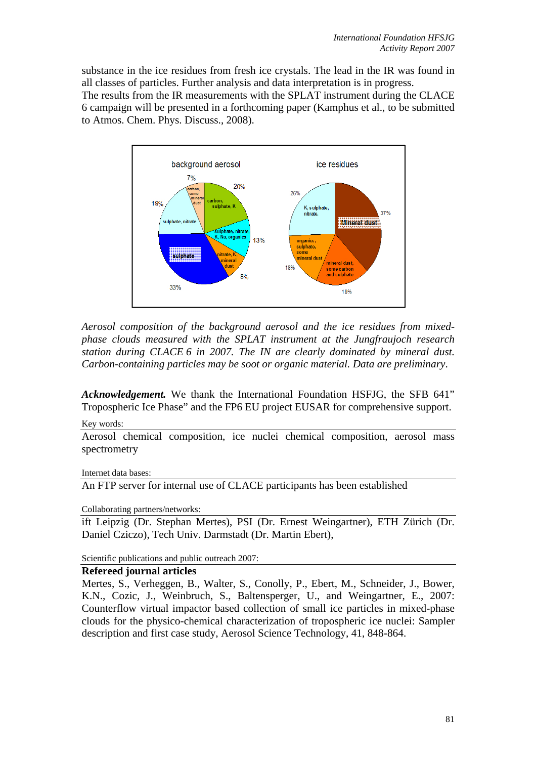substance in the ice residues from fresh ice crystals. The lead in the IR was found in all classes of particles. Further analysis and data interpretation is in progress. The results from the IR measurements with the SPLAT instrument during the CLACE 6 campaign will be presented in a forthcoming paper (Kamphus et al., to be submitted to Atmos. Chem. Phys. Discuss., 2008).



*Aerosol composition of the background aerosol and the ice residues from mixedphase clouds measured with the SPLAT instrument at the Jungfraujoch research station during CLACE 6 in 2007. The IN are clearly dominated by mineral dust. Carbon-containing particles may be soot or organic material. Data are preliminary*.

*Acknowledgement.* We thank the International Foundation HSFJG, the SFB 641" Tropospheric Ice Phase" and the FP6 EU project EUSAR for comprehensive support.

Key words:

Aerosol chemical composition, ice nuclei chemical composition, aerosol mass spectrometry

Internet data bases:

An FTP server for internal use of CLACE participants has been established

Collaborating partners/networks:

ift Leipzig (Dr. Stephan Mertes), PSI (Dr. Ernest Weingartner), ETH Zürich (Dr. Daniel Cziczo), Tech Univ. Darmstadt (Dr. Martin Ebert),

Scientific publications and public outreach 2007:

## **Refereed journal articles**

Mertes, S., Verheggen, B., Walter, S., Conolly, P., Ebert, M., Schneider, J., Bower, K.N., Cozic, J., Weinbruch, S., Baltensperger, U., and Weingartner, E., 2007: Counterflow virtual impactor based collection of small ice particles in mixed-phase clouds for the physico-chemical characterization of tropospheric ice nuclei: Sampler description and first case study, Aerosol Science Technology, 41, 848-864.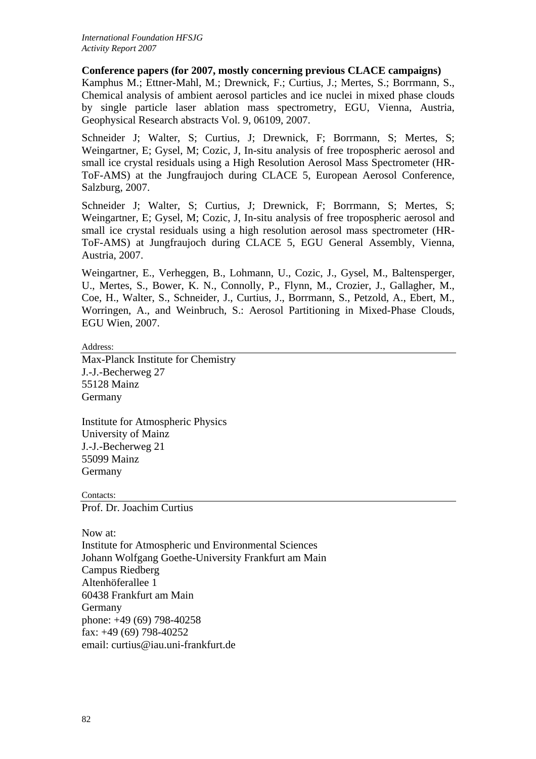## **Conference papers (for 2007, mostly concerning previous CLACE campaigns)**

Kamphus M.; Ettner-Mahl, M.; Drewnick, F.; Curtius, J.; Mertes, S.; Borrmann, S., Chemical analysis of ambient aerosol particles and ice nuclei in mixed phase clouds by single particle laser ablation mass spectrometry, EGU, Vienna, Austria, Geophysical Research abstracts Vol. 9, 06109, 2007.

Schneider J; Walter, S; Curtius, J; Drewnick, F; Borrmann, S; Mertes, S; Weingartner, E; Gysel, M; Cozic, J, In-situ analysis of free tropospheric aerosol and small ice crystal residuals using a High Resolution Aerosol Mass Spectrometer (HR-ToF-AMS) at the Jungfraujoch during CLACE 5, European Aerosol Conference, Salzburg, 2007.

Schneider J; Walter, S; Curtius, J; Drewnick, F; Borrmann, S; Mertes, S; Weingartner, E; Gysel, M; Cozic, J, In-situ analysis of free tropospheric aerosol and small ice crystal residuals using a high resolution aerosol mass spectrometer (HR-ToF-AMS) at Jungfraujoch during CLACE 5, EGU General Assembly, Vienna, Austria, 2007.

Weingartner, E., Verheggen, B., Lohmann, U., Cozic, J., Gysel, M., Baltensperger, U., Mertes, S., Bower, K. N., Connolly, P., Flynn, M., Crozier, J., Gallagher, M., Coe, H., Walter, S., Schneider, J., Curtius, J., Borrmann, S., Petzold, A., Ebert, M., Worringen, A., and Weinbruch, S.: Aerosol Partitioning in Mixed-Phase Clouds, EGU Wien, 2007.

Address:

Max-Planck Institute for Chemistry J.-J.-Becherweg 27 55128 Mainz Germany

Institute for Atmospheric Physics University of Mainz J.-J.-Becherweg 21 55099 Mainz Germany

Contacts: Prof. Dr. Joachim Curtius

Now at: Institute for Atmospheric und Environmental Sciences Johann Wolfgang Goethe-University Frankfurt am Main Campus Riedberg Altenhöferallee 1 60438 Frankfurt am Main Germany phone: +49 (69) 798-40258 fax: +49 (69) 798-40252 email: curtius@iau.uni-frankfurt.de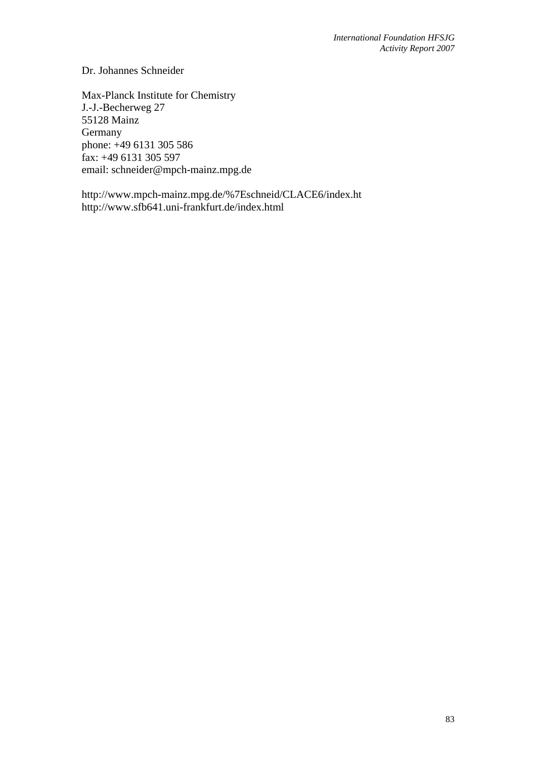Dr. Johannes Schneider

Max-Planck Institute for Chemistry J.-J.-Becherweg 27 55128 Mainz Germany phone: +49 6131 305 586 fax: +49 6131 305 597 email: schneider@mpch-mainz.mpg.de

http://www.mpch-mainz.mpg.de/%7Eschneid/CLACE6/index.ht http://www.sfb641.uni-frankfurt.de/index.html